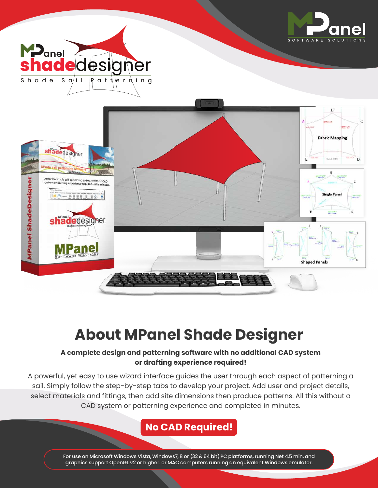





modification  $\epsilon$ **Single Panel**  $\frac{1}{100}$  =  $\frac{17}{10}$ milling.<br>The 2 B D  $\frac{100 \times 17}{100 \times 7}$  18.6



# **About MPanel Shade Designer**

#### **A complete design and patterning software with no additional CAD system or drafting experience required!**

A powerful, yet easy to use wizard interface guides the user through each aspect of patterning a sail. Simply follow the step-by-step tabs to develop your project. Add user and project details, select materials and fittings, then add site dimensions then produce patterns. All this without a CAD system or patterning experience and completed in minutes.

#### **No CAD Required!**

For use on Microsoft Windows Vista, Windows7, 8 or (32 & 64 bit) PC platforms, running Net 4.5 min. and graphics support OpenGL v2 or higher. or MAC computers running an equivalent Windows emulator.